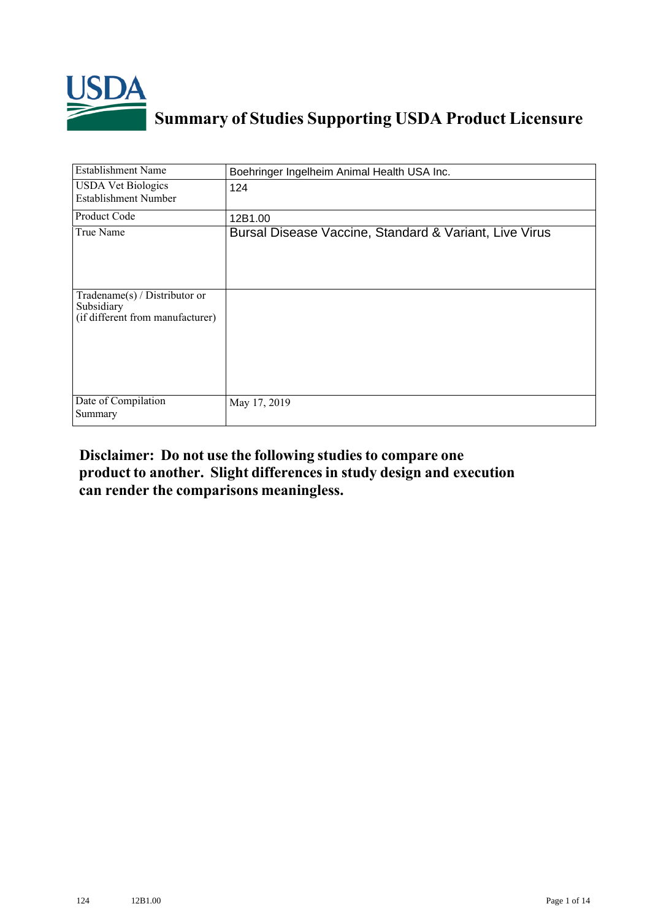

## **Summary of Studies Supporting USDA Product Licensure**

| <b>Establishment Name</b>                                                         | Boehringer Ingelheim Animal Health USA Inc.            |
|-----------------------------------------------------------------------------------|--------------------------------------------------------|
| <b>USDA Vet Biologics</b><br><b>Establishment Number</b>                          | 124                                                    |
| Product Code                                                                      | 12B1.00                                                |
| True Name                                                                         | Bursal Disease Vaccine, Standard & Variant, Live Virus |
| $Tradename(s) / Distributor$ or<br>Subsidiary<br>(if different from manufacturer) |                                                        |
| Date of Compilation<br>Summary                                                    | May 17, 2019                                           |

## **Disclaimer: Do not use the following studiesto compare one product to another. Slight differencesin study design and execution can render the comparisons meaningless.**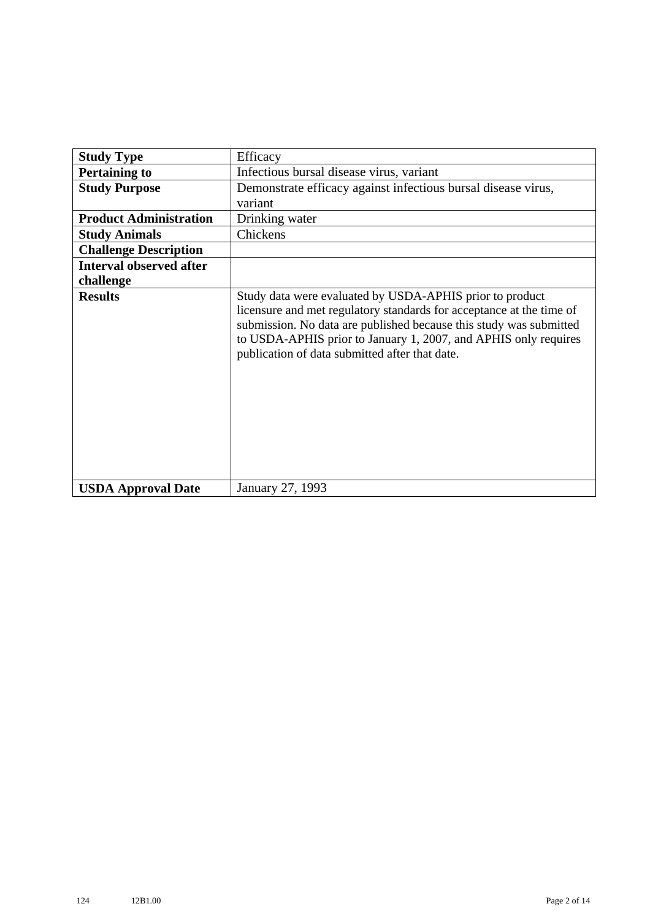| <b>Study Type</b>              | Efficacy                                                                                                                                                                                                                                                                                                                    |
|--------------------------------|-----------------------------------------------------------------------------------------------------------------------------------------------------------------------------------------------------------------------------------------------------------------------------------------------------------------------------|
| <b>Pertaining to</b>           | Infectious bursal disease virus, variant                                                                                                                                                                                                                                                                                    |
| <b>Study Purpose</b>           | Demonstrate efficacy against infectious bursal disease virus,                                                                                                                                                                                                                                                               |
|                                | variant                                                                                                                                                                                                                                                                                                                     |
| <b>Product Administration</b>  | Drinking water                                                                                                                                                                                                                                                                                                              |
| <b>Study Animals</b>           | Chickens                                                                                                                                                                                                                                                                                                                    |
| <b>Challenge Description</b>   |                                                                                                                                                                                                                                                                                                                             |
| <b>Interval observed after</b> |                                                                                                                                                                                                                                                                                                                             |
| challenge                      |                                                                                                                                                                                                                                                                                                                             |
| <b>Results</b>                 | Study data were evaluated by USDA-APHIS prior to product<br>licensure and met regulatory standards for acceptance at the time of<br>submission. No data are published because this study was submitted<br>to USDA-APHIS prior to January 1, 2007, and APHIS only requires<br>publication of data submitted after that date. |
| <b>USDA Approval Date</b>      | January 27, 1993                                                                                                                                                                                                                                                                                                            |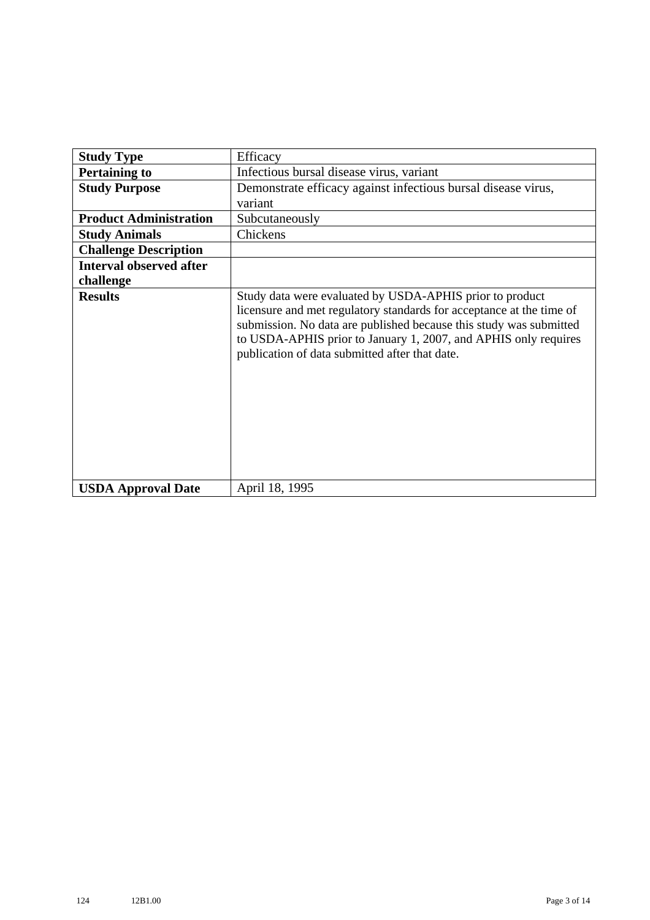| <b>Study Type</b>              | Efficacy                                                                                                                                                                                                                                                                                                                    |
|--------------------------------|-----------------------------------------------------------------------------------------------------------------------------------------------------------------------------------------------------------------------------------------------------------------------------------------------------------------------------|
| <b>Pertaining to</b>           | Infectious bursal disease virus, variant                                                                                                                                                                                                                                                                                    |
| <b>Study Purpose</b>           | Demonstrate efficacy against infectious bursal disease virus,                                                                                                                                                                                                                                                               |
|                                | variant                                                                                                                                                                                                                                                                                                                     |
| <b>Product Administration</b>  | Subcutaneously                                                                                                                                                                                                                                                                                                              |
| <b>Study Animals</b>           | Chickens                                                                                                                                                                                                                                                                                                                    |
| <b>Challenge Description</b>   |                                                                                                                                                                                                                                                                                                                             |
| <b>Interval observed after</b> |                                                                                                                                                                                                                                                                                                                             |
| challenge                      |                                                                                                                                                                                                                                                                                                                             |
| <b>Results</b>                 | Study data were evaluated by USDA-APHIS prior to product<br>licensure and met regulatory standards for acceptance at the time of<br>submission. No data are published because this study was submitted<br>to USDA-APHIS prior to January 1, 2007, and APHIS only requires<br>publication of data submitted after that date. |
| <b>USDA Approval Date</b>      | April 18, 1995                                                                                                                                                                                                                                                                                                              |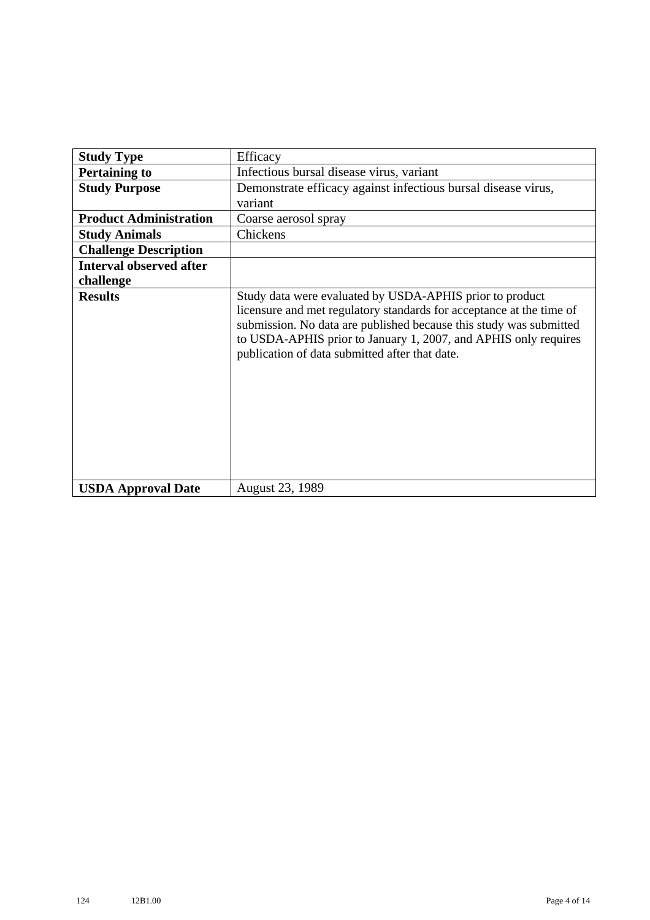| <b>Study Type</b>              | Efficacy                                                                                                                                                                                                                                                                                                                    |
|--------------------------------|-----------------------------------------------------------------------------------------------------------------------------------------------------------------------------------------------------------------------------------------------------------------------------------------------------------------------------|
| <b>Pertaining to</b>           | Infectious bursal disease virus, variant                                                                                                                                                                                                                                                                                    |
| <b>Study Purpose</b>           | Demonstrate efficacy against infectious bursal disease virus,                                                                                                                                                                                                                                                               |
|                                | variant                                                                                                                                                                                                                                                                                                                     |
| <b>Product Administration</b>  | Coarse aerosol spray                                                                                                                                                                                                                                                                                                        |
| <b>Study Animals</b>           | Chickens                                                                                                                                                                                                                                                                                                                    |
| <b>Challenge Description</b>   |                                                                                                                                                                                                                                                                                                                             |
| <b>Interval observed after</b> |                                                                                                                                                                                                                                                                                                                             |
| challenge                      |                                                                                                                                                                                                                                                                                                                             |
| <b>Results</b>                 | Study data were evaluated by USDA-APHIS prior to product<br>licensure and met regulatory standards for acceptance at the time of<br>submission. No data are published because this study was submitted<br>to USDA-APHIS prior to January 1, 2007, and APHIS only requires<br>publication of data submitted after that date. |
| <b>USDA Approval Date</b>      | <b>August 23, 1989</b>                                                                                                                                                                                                                                                                                                      |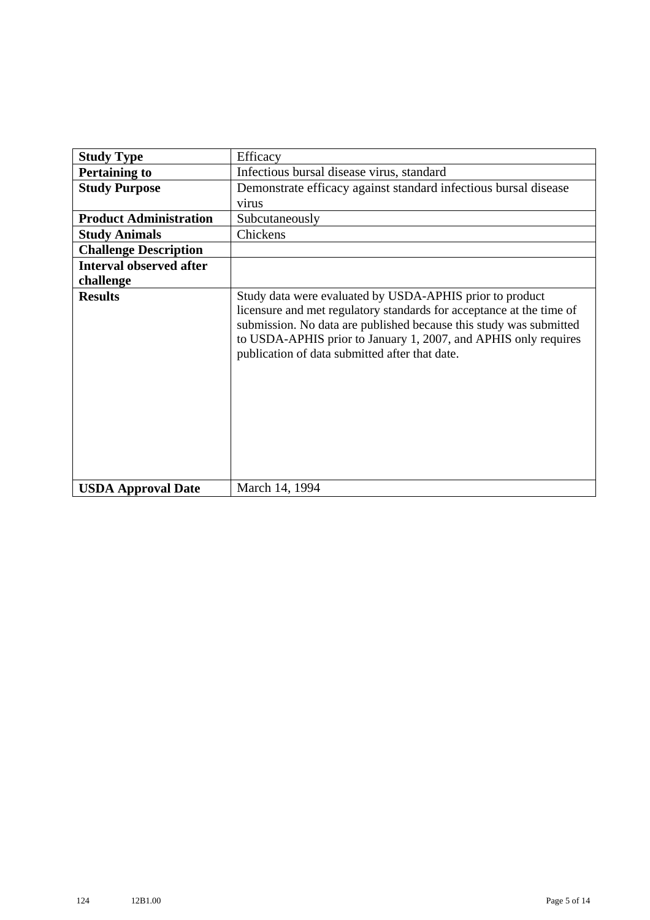| <b>Study Type</b>              | Efficacy                                                                                                                                                                                                                                                                                                                    |
|--------------------------------|-----------------------------------------------------------------------------------------------------------------------------------------------------------------------------------------------------------------------------------------------------------------------------------------------------------------------------|
| <b>Pertaining to</b>           | Infectious bursal disease virus, standard                                                                                                                                                                                                                                                                                   |
| <b>Study Purpose</b>           | Demonstrate efficacy against standard infectious bursal disease                                                                                                                                                                                                                                                             |
|                                | virus                                                                                                                                                                                                                                                                                                                       |
| <b>Product Administration</b>  | Subcutaneously                                                                                                                                                                                                                                                                                                              |
| <b>Study Animals</b>           | Chickens                                                                                                                                                                                                                                                                                                                    |
| <b>Challenge Description</b>   |                                                                                                                                                                                                                                                                                                                             |
| <b>Interval observed after</b> |                                                                                                                                                                                                                                                                                                                             |
| challenge                      |                                                                                                                                                                                                                                                                                                                             |
| <b>Results</b>                 | Study data were evaluated by USDA-APHIS prior to product<br>licensure and met regulatory standards for acceptance at the time of<br>submission. No data are published because this study was submitted<br>to USDA-APHIS prior to January 1, 2007, and APHIS only requires<br>publication of data submitted after that date. |
| <b>USDA Approval Date</b>      | March 14, 1994                                                                                                                                                                                                                                                                                                              |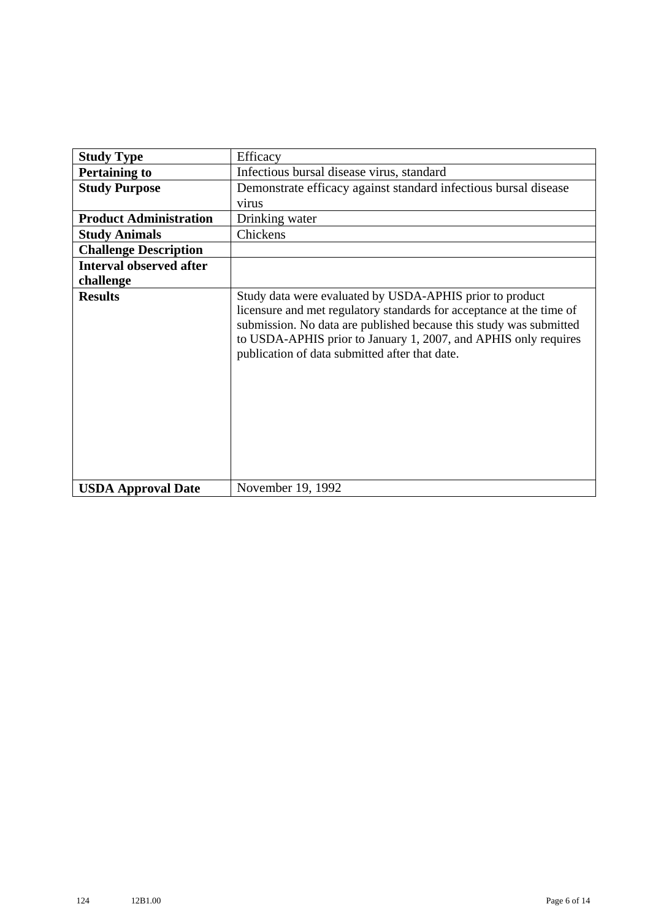| <b>Study Type</b>              | Efficacy                                                                                                                                                                                                                                                                                                                    |
|--------------------------------|-----------------------------------------------------------------------------------------------------------------------------------------------------------------------------------------------------------------------------------------------------------------------------------------------------------------------------|
| <b>Pertaining to</b>           | Infectious bursal disease virus, standard                                                                                                                                                                                                                                                                                   |
| <b>Study Purpose</b>           | Demonstrate efficacy against standard infectious bursal disease                                                                                                                                                                                                                                                             |
|                                | virus                                                                                                                                                                                                                                                                                                                       |
| <b>Product Administration</b>  | Drinking water                                                                                                                                                                                                                                                                                                              |
| <b>Study Animals</b>           | Chickens                                                                                                                                                                                                                                                                                                                    |
| <b>Challenge Description</b>   |                                                                                                                                                                                                                                                                                                                             |
| <b>Interval observed after</b> |                                                                                                                                                                                                                                                                                                                             |
| challenge                      |                                                                                                                                                                                                                                                                                                                             |
| <b>Results</b>                 | Study data were evaluated by USDA-APHIS prior to product<br>licensure and met regulatory standards for acceptance at the time of<br>submission. No data are published because this study was submitted<br>to USDA-APHIS prior to January 1, 2007, and APHIS only requires<br>publication of data submitted after that date. |
| <b>USDA Approval Date</b>      | November 19, 1992                                                                                                                                                                                                                                                                                                           |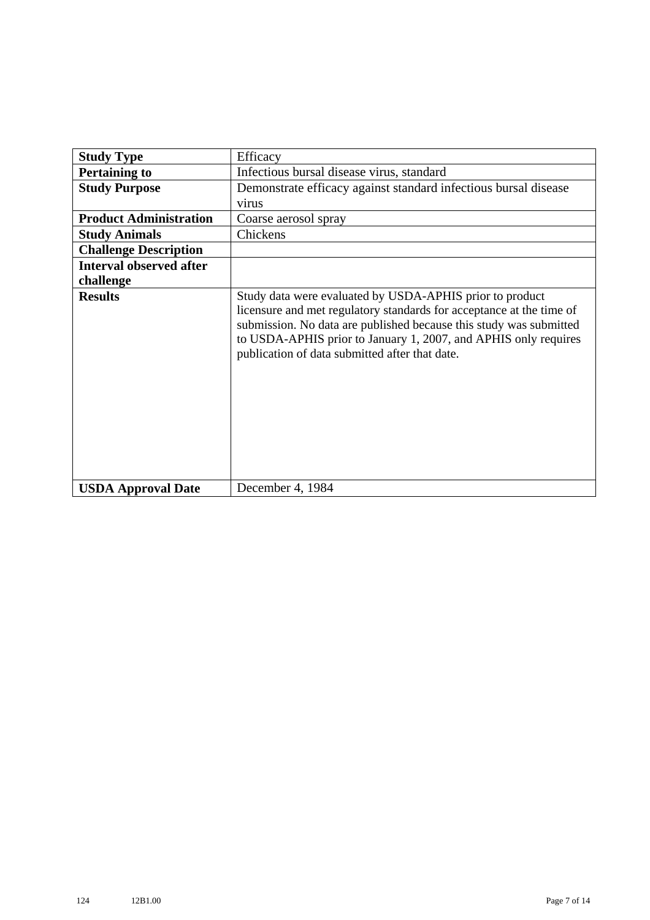| <b>Study Type</b>              | Efficacy                                                                                                                                                                                                                                                                                                                    |
|--------------------------------|-----------------------------------------------------------------------------------------------------------------------------------------------------------------------------------------------------------------------------------------------------------------------------------------------------------------------------|
| <b>Pertaining to</b>           | Infectious bursal disease virus, standard                                                                                                                                                                                                                                                                                   |
| <b>Study Purpose</b>           | Demonstrate efficacy against standard infectious bursal disease                                                                                                                                                                                                                                                             |
|                                | virus                                                                                                                                                                                                                                                                                                                       |
| <b>Product Administration</b>  | Coarse aerosol spray                                                                                                                                                                                                                                                                                                        |
| <b>Study Animals</b>           | Chickens                                                                                                                                                                                                                                                                                                                    |
| <b>Challenge Description</b>   |                                                                                                                                                                                                                                                                                                                             |
| <b>Interval observed after</b> |                                                                                                                                                                                                                                                                                                                             |
| challenge                      |                                                                                                                                                                                                                                                                                                                             |
| <b>Results</b>                 | Study data were evaluated by USDA-APHIS prior to product<br>licensure and met regulatory standards for acceptance at the time of<br>submission. No data are published because this study was submitted<br>to USDA-APHIS prior to January 1, 2007, and APHIS only requires<br>publication of data submitted after that date. |
| <b>USDA Approval Date</b>      | December 4, 1984                                                                                                                                                                                                                                                                                                            |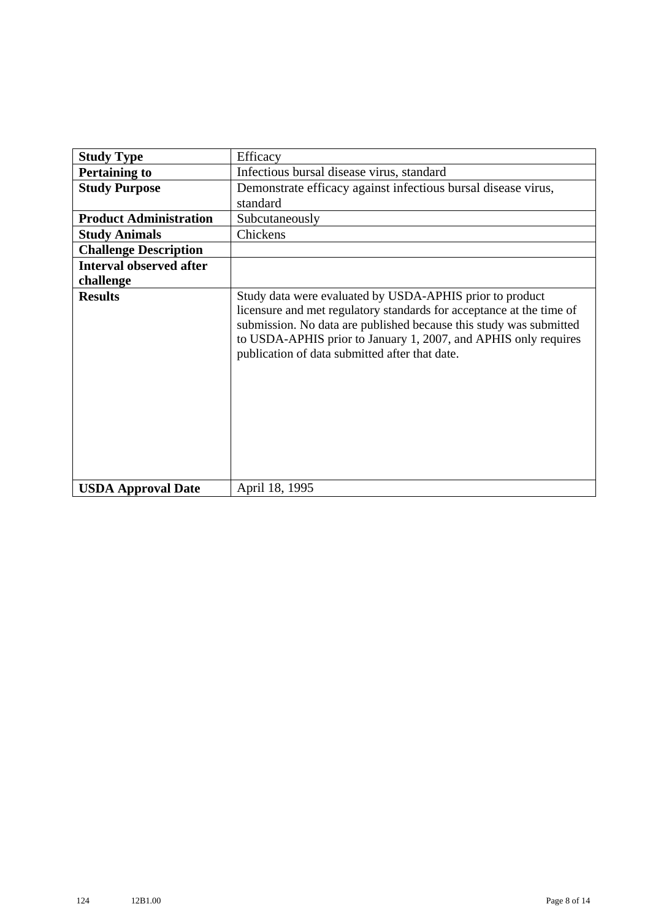| <b>Study Type</b>              | Efficacy                                                                                                                                                                                                                                                                                                                    |
|--------------------------------|-----------------------------------------------------------------------------------------------------------------------------------------------------------------------------------------------------------------------------------------------------------------------------------------------------------------------------|
| <b>Pertaining to</b>           | Infectious bursal disease virus, standard                                                                                                                                                                                                                                                                                   |
| <b>Study Purpose</b>           | Demonstrate efficacy against infectious bursal disease virus,                                                                                                                                                                                                                                                               |
|                                | standard                                                                                                                                                                                                                                                                                                                    |
| <b>Product Administration</b>  | Subcutaneously                                                                                                                                                                                                                                                                                                              |
| <b>Study Animals</b>           | Chickens                                                                                                                                                                                                                                                                                                                    |
| <b>Challenge Description</b>   |                                                                                                                                                                                                                                                                                                                             |
| <b>Interval observed after</b> |                                                                                                                                                                                                                                                                                                                             |
| challenge                      |                                                                                                                                                                                                                                                                                                                             |
| <b>Results</b>                 | Study data were evaluated by USDA-APHIS prior to product<br>licensure and met regulatory standards for acceptance at the time of<br>submission. No data are published because this study was submitted<br>to USDA-APHIS prior to January 1, 2007, and APHIS only requires<br>publication of data submitted after that date. |
| <b>USDA Approval Date</b>      | April 18, 1995                                                                                                                                                                                                                                                                                                              |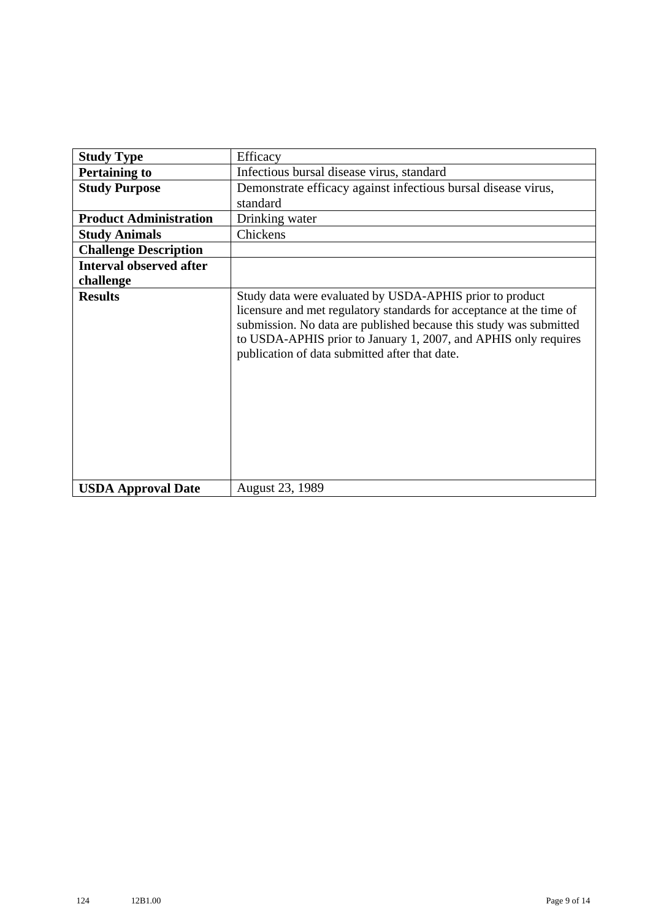| <b>Study Type</b>              | Efficacy                                                                                                                                                                                                                                                                                                                    |
|--------------------------------|-----------------------------------------------------------------------------------------------------------------------------------------------------------------------------------------------------------------------------------------------------------------------------------------------------------------------------|
| <b>Pertaining to</b>           | Infectious bursal disease virus, standard                                                                                                                                                                                                                                                                                   |
| <b>Study Purpose</b>           | Demonstrate efficacy against infectious bursal disease virus,                                                                                                                                                                                                                                                               |
|                                | standard                                                                                                                                                                                                                                                                                                                    |
| <b>Product Administration</b>  | Drinking water                                                                                                                                                                                                                                                                                                              |
| <b>Study Animals</b>           | Chickens                                                                                                                                                                                                                                                                                                                    |
| <b>Challenge Description</b>   |                                                                                                                                                                                                                                                                                                                             |
| <b>Interval observed after</b> |                                                                                                                                                                                                                                                                                                                             |
| challenge                      |                                                                                                                                                                                                                                                                                                                             |
| <b>Results</b>                 | Study data were evaluated by USDA-APHIS prior to product<br>licensure and met regulatory standards for acceptance at the time of<br>submission. No data are published because this study was submitted<br>to USDA-APHIS prior to January 1, 2007, and APHIS only requires<br>publication of data submitted after that date. |
| <b>USDA Approval Date</b>      | <b>August 23, 1989</b>                                                                                                                                                                                                                                                                                                      |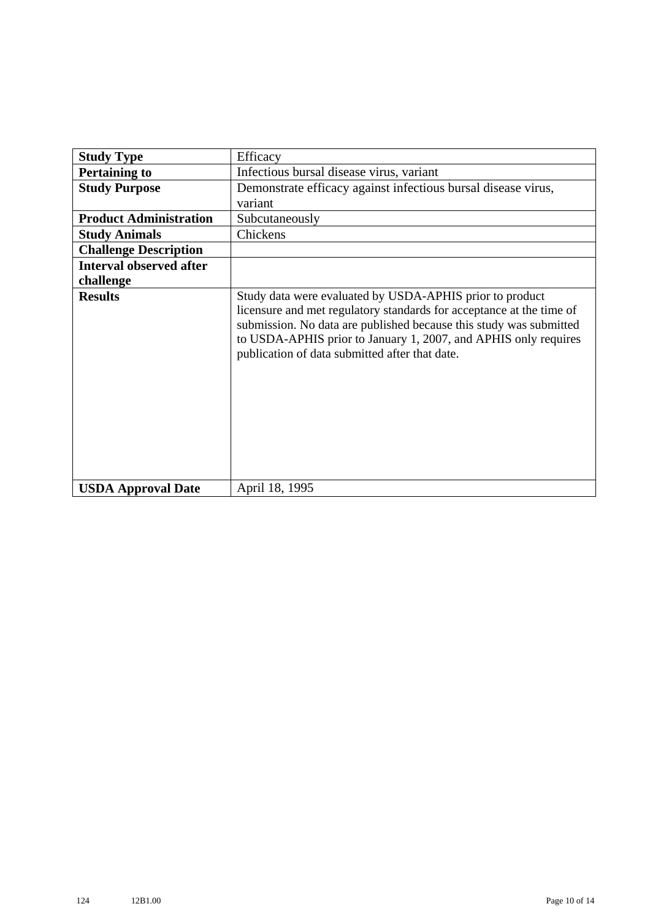| <b>Study Type</b>              | Efficacy                                                                                                                                                                                                                                                                                                                    |
|--------------------------------|-----------------------------------------------------------------------------------------------------------------------------------------------------------------------------------------------------------------------------------------------------------------------------------------------------------------------------|
| <b>Pertaining to</b>           | Infectious bursal disease virus, variant                                                                                                                                                                                                                                                                                    |
| <b>Study Purpose</b>           | Demonstrate efficacy against infectious bursal disease virus,                                                                                                                                                                                                                                                               |
|                                | variant                                                                                                                                                                                                                                                                                                                     |
| <b>Product Administration</b>  | Subcutaneously                                                                                                                                                                                                                                                                                                              |
| <b>Study Animals</b>           | Chickens                                                                                                                                                                                                                                                                                                                    |
| <b>Challenge Description</b>   |                                                                                                                                                                                                                                                                                                                             |
| <b>Interval observed after</b> |                                                                                                                                                                                                                                                                                                                             |
| challenge                      |                                                                                                                                                                                                                                                                                                                             |
| <b>Results</b>                 | Study data were evaluated by USDA-APHIS prior to product<br>licensure and met regulatory standards for acceptance at the time of<br>submission. No data are published because this study was submitted<br>to USDA-APHIS prior to January 1, 2007, and APHIS only requires<br>publication of data submitted after that date. |
| <b>USDA Approval Date</b>      | April 18, 1995                                                                                                                                                                                                                                                                                                              |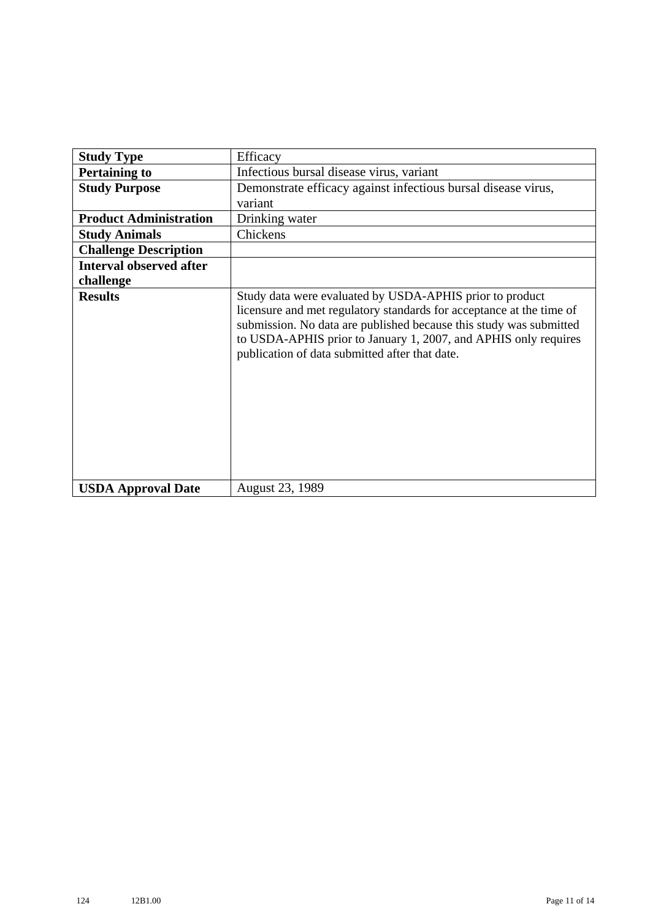| <b>Study Type</b>              | Efficacy                                                                                                                                                                                                                                                                                                                    |
|--------------------------------|-----------------------------------------------------------------------------------------------------------------------------------------------------------------------------------------------------------------------------------------------------------------------------------------------------------------------------|
| <b>Pertaining to</b>           | Infectious bursal disease virus, variant                                                                                                                                                                                                                                                                                    |
| <b>Study Purpose</b>           | Demonstrate efficacy against infectious bursal disease virus,                                                                                                                                                                                                                                                               |
|                                | variant                                                                                                                                                                                                                                                                                                                     |
| <b>Product Administration</b>  | Drinking water                                                                                                                                                                                                                                                                                                              |
| <b>Study Animals</b>           | Chickens                                                                                                                                                                                                                                                                                                                    |
| <b>Challenge Description</b>   |                                                                                                                                                                                                                                                                                                                             |
| <b>Interval observed after</b> |                                                                                                                                                                                                                                                                                                                             |
| challenge                      |                                                                                                                                                                                                                                                                                                                             |
| <b>Results</b>                 | Study data were evaluated by USDA-APHIS prior to product<br>licensure and met regulatory standards for acceptance at the time of<br>submission. No data are published because this study was submitted<br>to USDA-APHIS prior to January 1, 2007, and APHIS only requires<br>publication of data submitted after that date. |
| <b>USDA Approval Date</b>      | <b>August 23, 1989</b>                                                                                                                                                                                                                                                                                                      |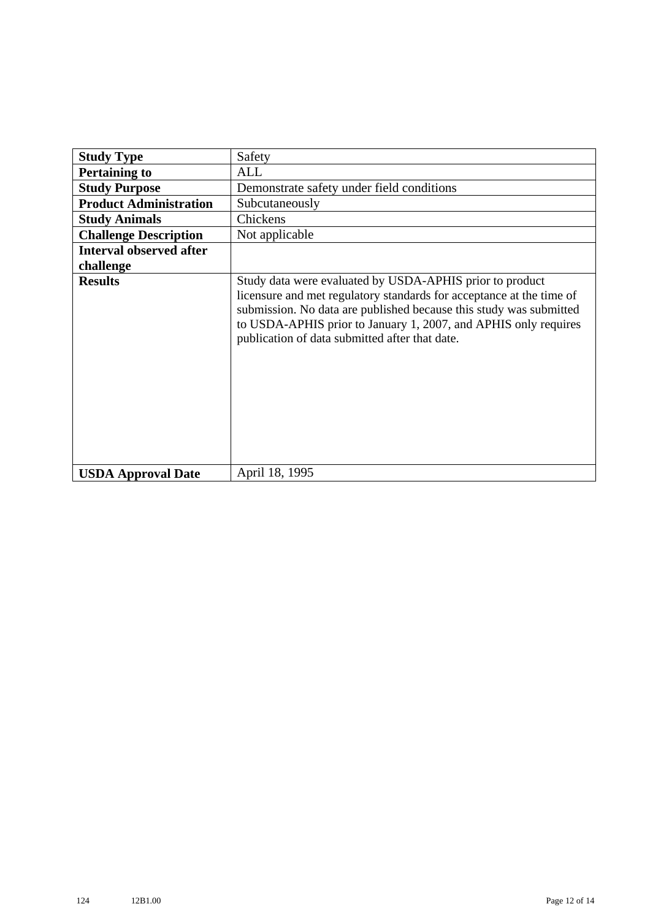| <b>Study Type</b>              | Safety                                                                                                                                                                                                                                                                                                                      |
|--------------------------------|-----------------------------------------------------------------------------------------------------------------------------------------------------------------------------------------------------------------------------------------------------------------------------------------------------------------------------|
| <b>Pertaining to</b>           | ALL                                                                                                                                                                                                                                                                                                                         |
| <b>Study Purpose</b>           | Demonstrate safety under field conditions                                                                                                                                                                                                                                                                                   |
| <b>Product Administration</b>  | Subcutaneously                                                                                                                                                                                                                                                                                                              |
| <b>Study Animals</b>           | Chickens                                                                                                                                                                                                                                                                                                                    |
| <b>Challenge Description</b>   | Not applicable                                                                                                                                                                                                                                                                                                              |
| <b>Interval observed after</b> |                                                                                                                                                                                                                                                                                                                             |
| challenge                      |                                                                                                                                                                                                                                                                                                                             |
| <b>Results</b>                 | Study data were evaluated by USDA-APHIS prior to product<br>licensure and met regulatory standards for acceptance at the time of<br>submission. No data are published because this study was submitted<br>to USDA-APHIS prior to January 1, 2007, and APHIS only requires<br>publication of data submitted after that date. |
| <b>USDA Approval Date</b>      | April 18, 1995                                                                                                                                                                                                                                                                                                              |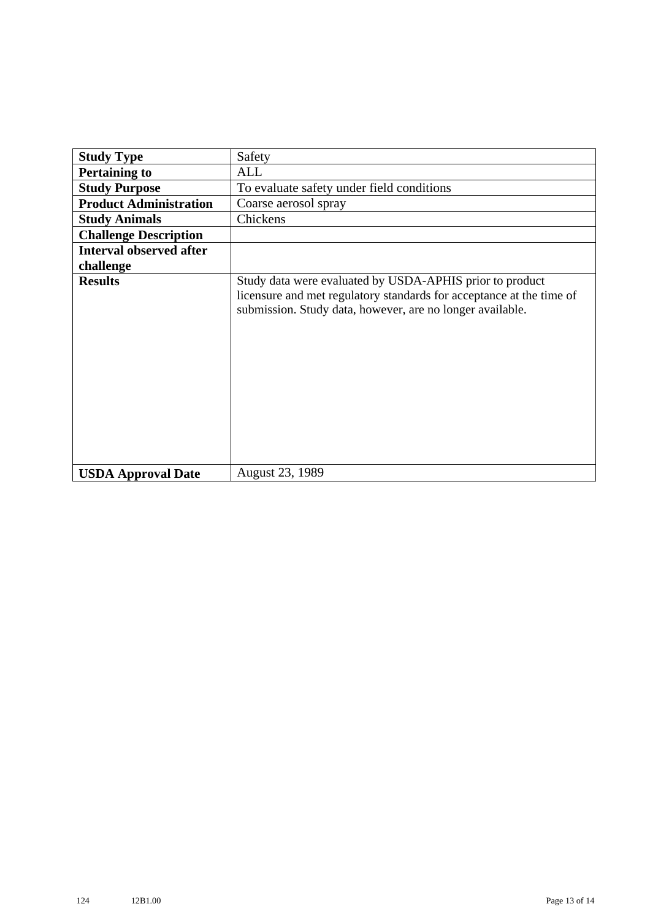| <b>Study Type</b>              | Safety                                                                                                                                                                                        |
|--------------------------------|-----------------------------------------------------------------------------------------------------------------------------------------------------------------------------------------------|
| <b>Pertaining to</b>           | ALL                                                                                                                                                                                           |
| <b>Study Purpose</b>           | To evaluate safety under field conditions                                                                                                                                                     |
| <b>Product Administration</b>  | Coarse aerosol spray                                                                                                                                                                          |
| <b>Study Animals</b>           | Chickens                                                                                                                                                                                      |
| <b>Challenge Description</b>   |                                                                                                                                                                                               |
| <b>Interval observed after</b> |                                                                                                                                                                                               |
| challenge                      |                                                                                                                                                                                               |
| <b>Results</b>                 | Study data were evaluated by USDA-APHIS prior to product<br>licensure and met regulatory standards for acceptance at the time of<br>submission. Study data, however, are no longer available. |
| <b>USDA Approval Date</b>      | August 23, 1989                                                                                                                                                                               |